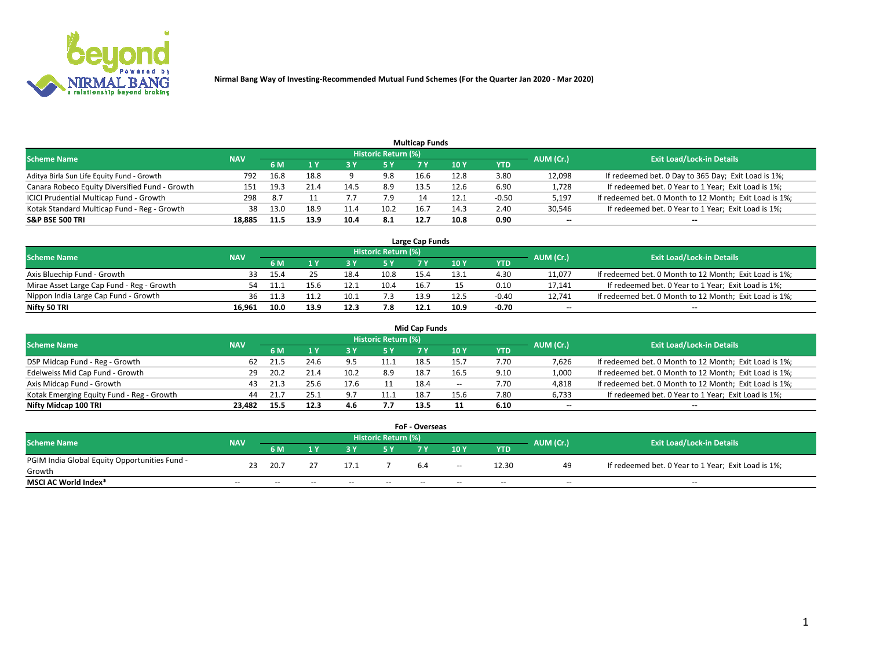

|                                                |            |      |      |      |                     | <b>Multicap Funds</b> |      |         |           |                                                        |
|------------------------------------------------|------------|------|------|------|---------------------|-----------------------|------|---------|-----------|--------------------------------------------------------|
| <b>Scheme Name</b>                             | <b>NAV</b> |      |      |      | Historic Return (%) |                       |      |         | AUM (Cr.) | <b>Exit Load/Lock-in Details</b>                       |
|                                                |            | 6 M  |      |      | 5 Y                 |                       | 10 Y | YTD     |           |                                                        |
| Aditya Birla Sun Life Equity Fund - Growth     | 792        | 16.8 | 18.8 |      | 9.8                 | 16.6                  | 12.8 | 3.80    | 12,098    | If redeemed bet. 0 Day to 365 Day; Exit Load is 1%;    |
| Canara Robeco Equity Diversified Fund - Growth | 151        | 19.3 | 21.4 |      | 8.9                 | 13.5                  | 12.6 | 6.90    | 1,728     | If redeemed bet. 0 Year to 1 Year; Exit Load is 1%;    |
| ICICI Prudential Multicap Fund - Growth        | 298        | -8.7 |      |      | 7.9                 |                       | 12.1 | $-0.50$ | 5,197     | If redeemed bet. 0 Month to 12 Month; Exit Load is 1%; |
| Kotak Standard Multicap Fund - Reg - Growth    | 38         | 13.0 | 18.9 | 11.4 | 10.2                | 16.                   | 14.3 | 2.40    | 30,546    | If redeemed bet. 0 Year to 1 Year; Exit Load is 1%;    |
| <b>S&amp;P BSE 500 TRI</b>                     | 18.885     | 11.5 | 13.9 | 10.4 | 8.1                 | 12.7                  | 10.8 | 0.90    | $- -$     | $-$                                                    |

| Large Cap Funds                           |            |      |      |      |                     |      |      |         |           |                                                        |  |  |  |  |
|-------------------------------------------|------------|------|------|------|---------------------|------|------|---------|-----------|--------------------------------------------------------|--|--|--|--|
| Scheme Name                               | <b>NAV</b> |      |      |      | Historic Return (%) |      |      |         | AUM (Cr.) | <b>Exit Load/Lock-in Details</b>                       |  |  |  |  |
|                                           |            | 6 M  |      |      | 5 Y                 |      | 10Y  | YTD     |           |                                                        |  |  |  |  |
| Axis Bluechip Fund - Growth               | 33.        | 15.4 |      | 18.4 | 10.8                | 15.4 | 13.1 | 4.30    | 11,077    | If redeemed bet. 0 Month to 12 Month; Exit Load is 1%; |  |  |  |  |
| Mirae Asset Large Cap Fund - Reg - Growth | 54         |      | 15.b |      | 10.4                | 16.  |      | 0.10    | 17,141    | If redeemed bet. 0 Year to 1 Year; Exit Load is 1%;    |  |  |  |  |
| Nippon India Large Cap Fund - Growth      | 36         | 11.3 |      | 10.1 | 7.3                 | 13.9 | 12.5 | $-0.40$ | 12.741    | If redeemed bet. 0 Month to 12 Month; Exit Load is 1%; |  |  |  |  |
| Nifty 50 TRI                              | 16.961     | 10.0 | 13.9 | 12.3 | 7.8                 | 12.1 | 10.9 | -0.70   | $\sim$    | $\sim$                                                 |  |  |  |  |

|                                           |            |      |      |      |                     | <b>Mid Cap Funds</b> |      |            |                          |                                                        |
|-------------------------------------------|------------|------|------|------|---------------------|----------------------|------|------------|--------------------------|--------------------------------------------------------|
| <b>Scheme Name</b>                        | <b>NAV</b> |      |      |      | Historic Return (%) |                      |      |            | AUM (Cr.)                | <b>Exit Load/Lock-in Details</b>                       |
|                                           |            | 6 M  | 1 Y  |      |                     |                      | 10Y  | <b>YTD</b> |                          |                                                        |
| DSP Midcap Fund - Reg - Growth            | 62         | 21.5 | 24.6 | 9.5  | 11.1                | 18.5                 | 15.  | 7.70       | 7,626                    | If redeemed bet. 0 Month to 12 Month; Exit Load is 1%; |
| Edelweiss Mid Cap Fund - Growth           |            | 20.2 | 21.4 | 10.2 | 8.9                 | 18.7                 | 16.5 | 9.10       | 1,000                    | If redeemed bet. 0 Month to 12 Month; Exit Load is 1%; |
| Axis Midcap Fund - Growth                 | 43         | 21.3 | 25.6 | 17.6 |                     | 18.4                 | $-$  | 7.70       | 4,818                    | If redeemed bet. 0 Month to 12 Month; Exit Load is 1%; |
| Kotak Emerging Equity Fund - Reg - Growth | 44         | 21.7 | 25.1 | 9.7  | 11.1                | 18.7                 | 15.6 | 7.80       | 6,733                    | If redeemed bet. 0 Year to 1 Year; Exit Load is 1%;    |
| Nifty Midcap 100 TRI                      | 23.482     | 15.5 | 12.3 | 4.6  | 7.7                 | 13.5                 |      | 6.10       | $\overline{\phantom{a}}$ | $\overline{\phantom{a}}$                               |

| <b>FoF - Overseas</b>                         |            |                                         |       |                                  |       |     |               |            |       |                                                     |  |  |  |  |
|-----------------------------------------------|------------|-----------------------------------------|-------|----------------------------------|-------|-----|---------------|------------|-------|-----------------------------------------------------|--|--|--|--|
| <b>Scheme Name</b>                            | <b>NAV</b> | <b>Historic Return (%)</b><br>AUM (Cr.) |       | <b>Exit Load/Lock-in Details</b> |       |     |               |            |       |                                                     |  |  |  |  |
|                                               |            | 6 M                                     |       |                                  |       |     | 10Y           | <b>YTD</b> |       |                                                     |  |  |  |  |
| PGIM India Global Equity Opportunities Fund - | 23         | 20.7                                    |       | 17.1                             |       | 6.4 | $\sim$ $\sim$ | 12.30      | 49    | If redeemed bet. 0 Year to 1 Year; Exit Load is 1%; |  |  |  |  |
| Growth                                        |            |                                         |       |                                  |       |     |               |            |       |                                                     |  |  |  |  |
| <b>MSCI AC World Index*</b>                   | $- -$      | $- -$                                   | $- -$ | $- -$                            | $- -$ | --  | $- -$         | $- -$      | $- -$ | $- -$                                               |  |  |  |  |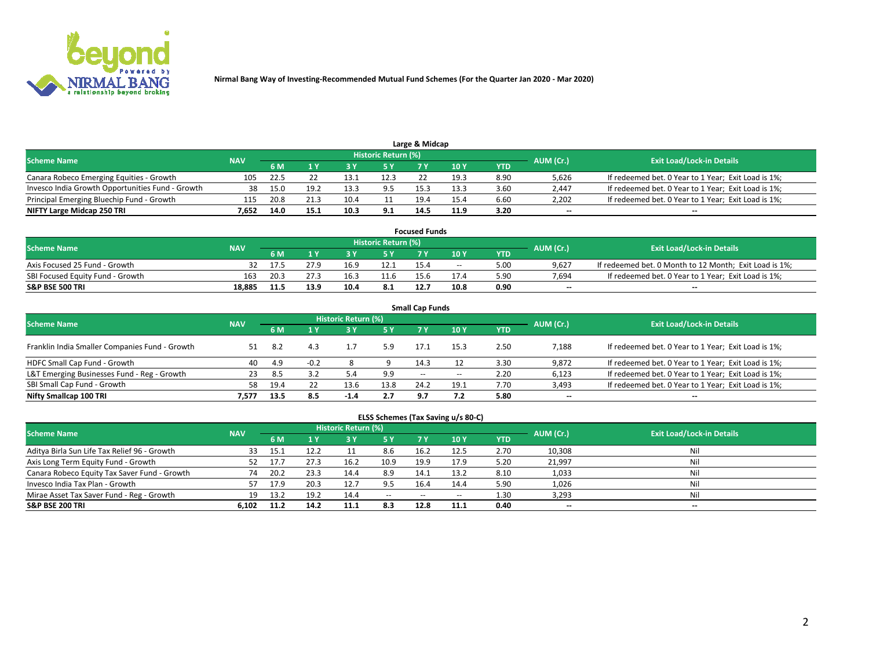

| Large & Midcap                                   |            |      |      |      |                     |      |      |      |                          |                                                     |  |  |  |  |
|--------------------------------------------------|------------|------|------|------|---------------------|------|------|------|--------------------------|-----------------------------------------------------|--|--|--|--|
| <b>Scheme Name</b>                               | <b>NAV</b> |      |      |      | Historic Return (%) |      |      |      | AUM (Cr.)                | <b>Exit Load/Lock-in Details</b>                    |  |  |  |  |
|                                                  |            | 6 M  |      |      | 5 Y                 |      | 10Y  | YTD  |                          |                                                     |  |  |  |  |
| Canara Robeco Emerging Equities - Growth         | 105        | 22.5 |      | 13.1 | 12.3                |      | 19.3 | 8.90 | 5,626                    | If redeemed bet. 0 Year to 1 Year; Exit Load is 1%; |  |  |  |  |
| Invesco India Growth Opportunities Fund - Growth | 38         | 15.0 | 19.2 | 13.5 |                     | 15.3 | 13.3 | 3.60 | 2,447                    | If redeemed bet. 0 Year to 1 Year; Exit Load is 1%; |  |  |  |  |
| Principal Emerging Bluechip Fund - Growth        | 115        | 20.8 | 21.3 | 10.4 |                     | 19.4 | 15.4 | 6.60 | 2,202                    | If redeemed bet. 0 Year to 1 Year; Exit Load is 1%; |  |  |  |  |
| NIFTY Large Midcap 250 TRI                       | 7.652      | 14.0 | 15.1 | 10.3 | 9.1                 | 14.5 | 11.9 | 3.20 | $\overline{\phantom{a}}$ | $-$                                                 |  |  |  |  |

| <b>Focused Funds</b>             |            |            |      |      |                     |      |       |      |           |                                                        |  |  |  |
|----------------------------------|------------|------------|------|------|---------------------|------|-------|------|-----------|--------------------------------------------------------|--|--|--|
| <b>Scheme Name</b>               | <b>NAV</b> |            |      |      | Historic Return (%) |      |       |      | AUM (Cr.) | <b>Exit Load/Lock-in Details</b>                       |  |  |  |
|                                  |            | <b>6 M</b> |      |      |                     |      | 10 Y  | YTD  |           |                                                        |  |  |  |
| Axis Focused 25 Fund - Growth    |            |            | 27.9 | 16.9 | 12.1                | 15.4 | $- -$ | 5.00 | 9.627     | If redeemed bet. 0 Month to 12 Month; Exit Load is 1%; |  |  |  |
| SBI Focused Equity Fund - Growth | 163        | 20.3       |      |      |                     | 15.6 | 17.4  | 5.90 | 7.694     | If redeemed bet. 0 Year to 1 Year; Exit Load is 1%;    |  |  |  |
| <b>S&amp;P BSE 500 TRI</b>       | 18.885     | 11.5       | 13.9 | 10.4 | 8.1                 | 12.7 | 10.8  | 0.90 | $\sim$    | $- -$                                                  |  |  |  |

| <b>Small Cap Funds</b>                         |            |      |        |                     |      |                     |       |      |           |                                                     |  |  |  |  |
|------------------------------------------------|------------|------|--------|---------------------|------|---------------------|-------|------|-----------|-----------------------------------------------------|--|--|--|--|
| <b>Scheme Name</b>                             | <b>NAV</b> |      |        | Historic Return (%) |      |                     |       |      | AUM (Cr.) | <b>Exit Load/Lock-in Details</b>                    |  |  |  |  |
|                                                |            | 6 M  |        | 3Y                  | 5 Y  | 7 Y                 | 10Y   | YTD  |           |                                                     |  |  |  |  |
| Franklin India Smaller Companies Fund - Growth |            | 8.2  |        |                     | 5.9  | 17.1                | 15.3  | 2.50 | 7,188     | If redeemed bet. 0 Year to 1 Year; Exit Load is 1%; |  |  |  |  |
| HDFC Small Cap Fund - Growth                   | 40         | 4.9  | $-0.2$ |                     |      | 14.3                |       | 3.30 | 9,872     | If redeemed bet. 0 Year to 1 Year; Exit Load is 1%; |  |  |  |  |
| L&T Emerging Businesses Fund - Reg - Growth    | 23         | -8.5 | 3.2    |                     | 9.9  | $\hspace{0.05cm} -$ | $- -$ | 2.20 | 6,123     | If redeemed bet. 0 Year to 1 Year; Exit Load is 1%; |  |  |  |  |
| SBI Small Cap Fund - Growth                    | 58.        | 19.4 |        | 13.6                | 13.8 | 24.2                | 19.1  | 7.70 | 3,493     | If redeemed bet. 0 Year to 1 Year; Exit Load is 1%; |  |  |  |  |
| Nifty Smallcap 100 TRI                         | 7.577      | 13.5 | 8.5    | $-1.4$              | 2.7  | 9.7                 | 7.2   | 5.80 | $\sim$    | $- -$                                               |  |  |  |  |

## **ELSS Schemes (Tax Saving u/s 80-C)**

| <b>Scheme Name</b>                           | <b>NAV</b> |      |      | <b>Historic Return (%)</b> |           |      |      |                   | AUM (Cr.) | <b>Exit Load/Lock-in Details</b> |
|----------------------------------------------|------------|------|------|----------------------------|-----------|------|------|-------------------|-----------|----------------------------------|
|                                              |            | 6 M  | 1 Y  | 3 Y                        | <b>5Y</b> | 7 Y  | 10Y  | YTD               |           |                                  |
| Aditya Birla Sun Life Tax Relief 96 - Growth | 33         |      | 12.2 |                            | 8.6       | 16.2 | 12.5 | 2.70              | 10,308    | Nil                              |
| Axis Long Term Equity Fund - Growth          | 52         |      |      | 16.2                       | 10.9      | 19.9 | 17.9 | 5.20              | 21,997    | Nil                              |
| Canara Robeco Equity Tax Saver Fund - Growth | 74         | 20.2 | 23.3 | 14.4                       | 8.9       | 14.1 | 13.2 | 8.10              | 1,033     | Nil                              |
| Invesco India Tax Plan - Growth              | 57.        | 17.9 | 20.3 | 12.7                       | 9.5       | 16.4 | 14.4 | 5.90              | 1,026     | Nil                              |
| Mirae Asset Tax Saver Fund - Reg - Growth    | 19         | 13.2 | 19.2 | 14.4                       | $- -$     | --   | --   | 1.30 <sub>1</sub> | 3,293     | Nil                              |
| S&P BSE 200 TRI                              | 6.102      | 11.2 | 14.2 |                            | 8.3       | 12.8 | 11.1 | 0.40              | $\sim$    | $- -$                            |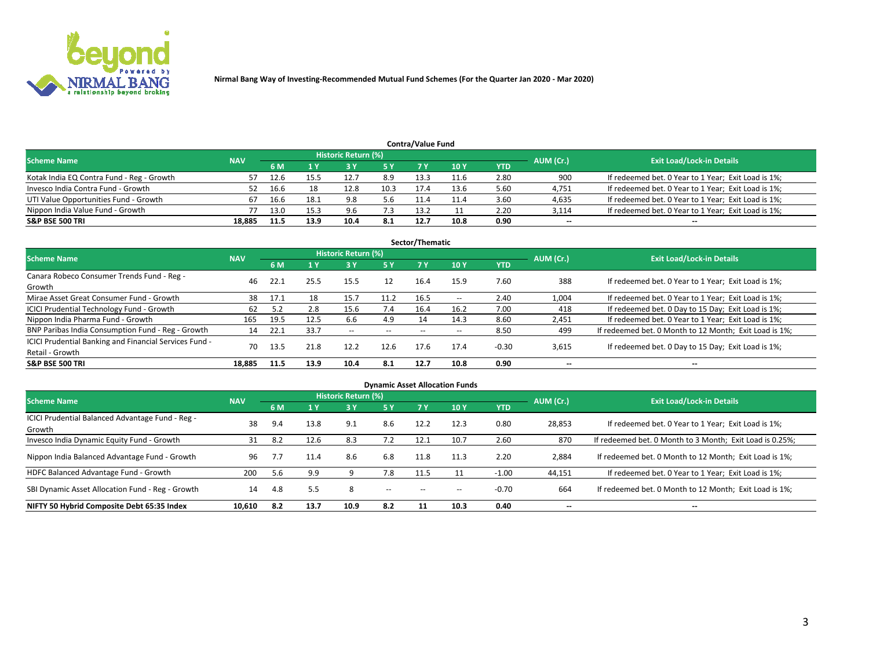

| <b>Contra/Value Fund</b>                                                                                        |        |      |      |      |      |      |      |            |        |                                                     |  |  |  |  |
|-----------------------------------------------------------------------------------------------------------------|--------|------|------|------|------|------|------|------------|--------|-----------------------------------------------------|--|--|--|--|
| <b>Historic Return (%)</b><br><b>Exit Load/Lock-in Details</b><br>AUM (Cr.)<br><b>Scheme Name</b><br><b>NAV</b> |        |      |      |      |      |      |      |            |        |                                                     |  |  |  |  |
|                                                                                                                 |        | 6 M  |      |      | 5 Y  | 7 V  | 10Y  | <b>YTD</b> |        |                                                     |  |  |  |  |
| Kotak India EQ Contra Fund - Reg - Growth                                                                       | 57     |      | 15.5 | 12.  | 8.9  | 13.3 | 11.6 | 2.80       | 900    | If redeemed bet. 0 Year to 1 Year; Exit Load is 1%; |  |  |  |  |
| Invesco India Contra Fund - Growth                                                                              | 52     |      |      | 12.8 | 10.3 | 17.4 | 13.6 | 5.60       | 4,751  | If redeemed bet. 0 Year to 1 Year; Exit Load is 1%; |  |  |  |  |
| UTI Value Opportunities Fund - Growth                                                                           |        | 16.6 | 18.1 | 9.8  | 5.6  | 11.4 |      | 3.60       | 4,635  | If redeemed bet. 0 Year to 1 Year; Exit Load is 1%; |  |  |  |  |
| Nippon India Value Fund - Growth                                                                                |        | 13.0 | 15.3 | 9.6  | 7.3  | 13.2 |      | 2.20       | 3,114  | If redeemed bet. 0 Year to 1 Year; Exit Load is 1%; |  |  |  |  |
| <b>S&amp;P BSE 500 TRI</b>                                                                                      | 18.885 | 11.5 | 13.9 | 10.4 | 8.1  | 12.7 | 10.8 | 0.90       | $\sim$ | $- -$                                               |  |  |  |  |

|                                                                           |            |      |      |                     |           | Sector/Thematic |                          |            |                          |                                                        |
|---------------------------------------------------------------------------|------------|------|------|---------------------|-----------|-----------------|--------------------------|------------|--------------------------|--------------------------------------------------------|
| <b>Scheme Name</b>                                                        | <b>NAV</b> |      |      | Historic Return (%) |           |                 |                          |            | AUM (Cr.)                | <b>Exit Load/Lock-in Details</b>                       |
|                                                                           |            | 6 M  | 1 Y  | 73 Y                | <b>5Y</b> | 7 Y             | 10Y                      | <b>YTD</b> |                          |                                                        |
| Canara Robeco Consumer Trends Fund - Reg -<br>Growth                      | 46         | 22.1 | 25.5 | 15.5                | 12        | 16.4            | 15.9                     | 7.60       | 388                      | If redeemed bet. 0 Year to 1 Year; Exit Load is 1%;    |
| Mirae Asset Great Consumer Fund - Growth                                  | 38         | 17.1 | 18   | 15.7                | 11.2      | 16.5            | $\overline{\phantom{a}}$ | 2.40       | 1,004                    | If redeemed bet. 0 Year to 1 Year; Exit Load is 1%;    |
| ICICI Prudential Technology Fund - Growth                                 | 62         |      | 2.8  | 15.6                | 7.4       | 16.4            | 16.2                     | 7.00       | 418                      | If redeemed bet. 0 Day to 15 Day; Exit Load is 1%;     |
| Nippon India Pharma Fund - Growth                                         | 165        | 19.5 | 12.5 | 6.6                 | 4.9       | 14              | 14.3                     | 8.60       | 2,451                    | If redeemed bet. 0 Year to 1 Year; Exit Load is 1%;    |
| BNP Paribas India Consumption Fund - Reg - Growth                         | 14         | 22.1 | 33.7 | $- -$               | $- -$     | $- -$           | $- -$                    | 8.50       | 499                      | If redeemed bet. 0 Month to 12 Month; Exit Load is 1%; |
| ICICI Prudential Banking and Financial Services Fund -<br>Retail - Growth | 70         | 13.5 | 21.8 | 12.2                | 12.6      | 17.6            | 17.4                     | $-0.30$    | 3,615                    | If redeemed bet. 0 Day to 15 Day; Exit Load is 1%;     |
| <b>S&amp;P BSE 500 TRI</b>                                                | 18.885     | 11.5 | 13.9 | 10.4                | 8.1       | 12.7            | 10.8                     | 0.90       | $\overline{\phantom{a}}$ | $\overline{\phantom{a}}$                               |

|                                                            |            |     |      |                     |       |       | <b>Dynamic Asset Allocation Funds</b> |            |                          |                                                          |
|------------------------------------------------------------|------------|-----|------|---------------------|-------|-------|---------------------------------------|------------|--------------------------|----------------------------------------------------------|
| <b>Scheme Name</b>                                         | <b>NAV</b> |     |      | Historic Return (%) |       |       |                                       |            | AUM (Cr.)                | <b>Exit Load/Lock-in Details</b>                         |
|                                                            |            | 6 M |      | 3 Y                 | 5 Y   | 7 Y   | 10 <sub>Y</sub>                       | <b>YTD</b> |                          |                                                          |
| ICICI Prudential Balanced Advantage Fund - Reg -<br>Growth | 38         | 9.4 | 13.8 | 9.1                 | 8.6   | 12.2  | 12.3                                  | 0.80       | 28,853                   | If redeemed bet. 0 Year to 1 Year; Exit Load is 1%;      |
| Invesco India Dynamic Equity Fund - Growth                 | 31         | 8.2 | 12.6 | 8.3                 | 7.2   | 12.1  | 10.7                                  | 2.60       | 870                      | If redeemed bet. 0 Month to 3 Month; Exit Load is 0.25%; |
| Nippon India Balanced Advantage Fund - Growth              | 96         | 7.7 | 11.4 | 8.6                 | 6.8   | 11.8  | 11.3                                  | 2.20       | 2,884                    | If redeemed bet. 0 Month to 12 Month; Exit Load is 1%;   |
| HDFC Balanced Advantage Fund - Growth                      | 200        | 5.6 | 9.9  |                     | 7.8   | 11.5  |                                       | $-1.00$    | 44,151                   | If redeemed bet. 0 Year to 1 Year; Exit Load is 1%;      |
| SBI Dynamic Asset Allocation Fund - Reg - Growth           | 14         | 4.8 | 5.5  | 8                   | $- -$ | $- -$ | --                                    | $-0.70$    | 664                      | If redeemed bet. 0 Month to 12 Month; Exit Load is 1%;   |
| NIFTY 50 Hybrid Composite Debt 65:35 Index                 | 10,610     | 8.2 | 13.7 | 10.9                | 8.2   | 11    | 10.3                                  | 0.40       | $\overline{\phantom{a}}$ | $\overline{\phantom{a}}$                                 |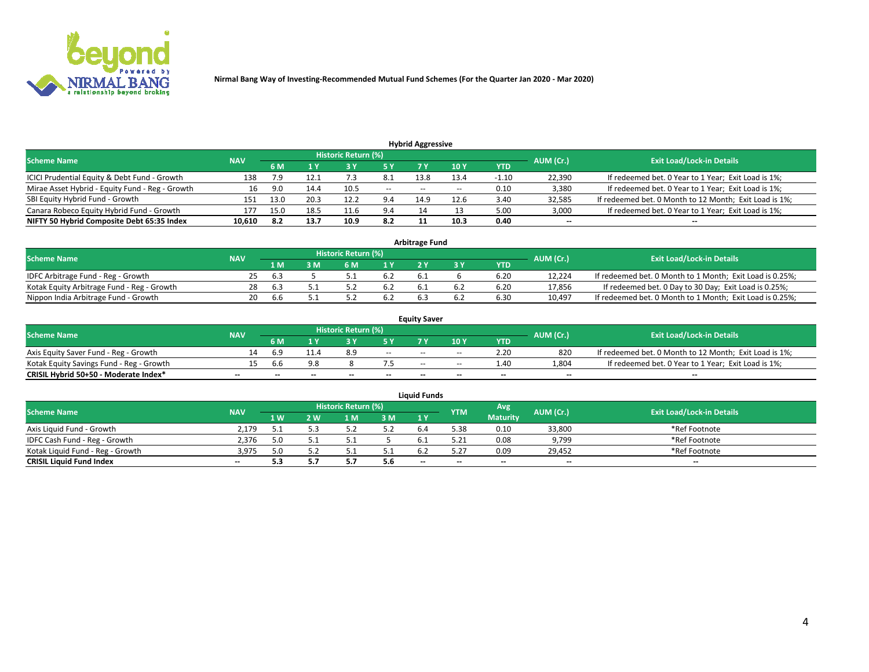

| <b>Hybrid Aggressive</b>                        |            |      |      |                            |        |                          |       |         |                          |                                                        |  |  |  |  |
|-------------------------------------------------|------------|------|------|----------------------------|--------|--------------------------|-------|---------|--------------------------|--------------------------------------------------------|--|--|--|--|
| <b>Scheme Name</b>                              | <b>NAV</b> |      |      | <b>Historic Return (%)</b> |        |                          |       |         | AUM (Cr.)                | <b>Exit Load/Lock-in Details</b>                       |  |  |  |  |
|                                                 |            | 6 M  |      |                            |        |                          | 10Y   | YTD     |                          |                                                        |  |  |  |  |
| ICICI Prudential Equity & Debt Fund - Growth    | 138        | ر پر | 12.1 |                            | 8.1    | 13.8                     | 13.4  | $-1.10$ | 22,390                   | If redeemed bet. 0 Year to 1 Year; Exit Load is 1%;    |  |  |  |  |
| Mirae Asset Hybrid - Equity Fund - Reg - Growth | 16         | 9.0  | 14.4 | 10.5                       | $\sim$ | $\overline{\phantom{a}}$ | $- -$ | 0.10    | 3,380                    | If redeemed bet. 0 Year to 1 Year; Exit Load is 1%;    |  |  |  |  |
| SBI Equity Hybrid Fund - Growth                 | 151        | 13.0 | 20.3 | 12.2                       | 9.4    | 14.9                     | 12.6  | 3.40    | 32,585                   | If redeemed bet. 0 Month to 12 Month; Exit Load is 1%; |  |  |  |  |
| Canara Robeco Equity Hybrid Fund - Growth       | 177        | 15.0 | 18.5 | 11.6                       | 9.4    |                          |       | 5.00    | 3,000                    | If redeemed bet. 0 Year to 1 Year; Exit Load is 1%;    |  |  |  |  |
| NIFTY 50 Hybrid Composite Debt 65:35 Index      | 10,610     | -8.2 | 13.7 | 10.9                       | 8.2    |                          | 10.3  | 0.40    | $\overline{\phantom{a}}$ | $- -$                                                  |  |  |  |  |

|                                            |            |                                  |     |                | <b>Arbitrage Fund</b> |     |            |        |                                                          |
|--------------------------------------------|------------|----------------------------------|-----|----------------|-----------------------|-----|------------|--------|----------------------------------------------------------|
| <b>Scheme Name</b>                         | AUM (Cr.)  | <b>Exit Load/Lock-in Details</b> |     |                |                       |     |            |        |                                                          |
|                                            | <b>NAV</b> | 1 M                              | } M | 1 <sub>V</sub> |                       |     | <b>YTD</b> |        |                                                          |
| IDFC Arbitrage Fund - Reg - Growth         | 25.        | -6.3                             |     | b.Z            | b.1                   |     | 6.20       | 12,224 | If redeemed bet. 0 Month to 1 Month; Exit Load is 0.25%; |
| Kotak Equity Arbitrage Fund - Reg - Growth | 28         | 6.3                              |     | 0.2            |                       | b.4 | 6.20       | 17,856 | If redeemed bet. 0 Day to 30 Day; Exit Load is 0.25%;    |
| Nippon India Arbitrage Fund - Growth       | 20         | .6b                              |     |                |                       |     | 6.30       | 10.497 | If redeemed bet. 0 Month to 1 Month; Exit Load is 0.25%; |

|                                          |            |           |                                  |                          |                          | <b>Equity Saver</b> |               |            |                          |                                                        |
|------------------------------------------|------------|-----------|----------------------------------|--------------------------|--------------------------|---------------------|---------------|------------|--------------------------|--------------------------------------------------------|
| Scheme Name                              | <b>NAV</b> | AUM (Cr.) | <b>Exit Load/Lock-in Details</b> |                          |                          |                     |               |            |                          |                                                        |
|                                          |            | 6 M       |                                  |                          | 5 Y                      |                     | $\sqrt{10}$ Y | <b>YTD</b> |                          |                                                        |
| Axis Equity Saver Fund - Reg - Growth    |            | 6.9       | 11.4                             | 8.9                      | $\sim$                   | $-$                 | $- -$         | 2.20       | 820                      | If redeemed bet. 0 Month to 12 Month; Exit Load is 1%; |
| Kotak Equity Savings Fund - Reg - Growth |            | b.b       | 9.8                              |                          |                          | $\sim$ $\sim$       | $- -$         | 1.40       | 1,804                    | If redeemed bet. 0 Year to 1 Year; Exit Load is 1%;    |
| CRISIL Hybrid 50+50 - Moderate Index*    |            | $- -$     | $-$                              | $\overline{\phantom{a}}$ | $\overline{\phantom{a}}$ | $\sim$              | --            | $- -$      | $\overline{\phantom{a}}$ | $- -$                                                  |

| <b>Liquid Funds</b>              |            |      |     |                            |      |                          |            |                 |           |                                  |  |  |  |  |
|----------------------------------|------------|------|-----|----------------------------|------|--------------------------|------------|-----------------|-----------|----------------------------------|--|--|--|--|
| Scheme Name                      | <b>NAV</b> |      |     | <b>Historic Return (%)</b> |      |                          | <b>YTM</b> | Avg             | AUM (Cr.) | <b>Exit Load/Lock-in Details</b> |  |  |  |  |
|                                  |            | 1 W. | 2 W | 1 M                        | 3 M  | 71 Y                     |            | <b>Maturity</b> |           |                                  |  |  |  |  |
| Axis Liquid Fund - Growth        | 2,179      |      |     |                            | 5.2  |                          | 5.38       | 0.10            | 33,800    | *Ref Footnote                    |  |  |  |  |
| IDFC Cash Fund - Reg - Growth    | 2.376      |      |     |                            |      |                          | 5.21       | 0.08            | 9,799     | *Ref Footnote                    |  |  |  |  |
| Kotak Liquid Fund - Reg - Growth | 3,975      |      |     |                            | ۰۰ ت |                          |            | 0.09            | 29,452    | *Ref Footnote                    |  |  |  |  |
| <b>CRISIL Liquid Fund Index</b>  | $\sim$     | 5.3  |     |                            | 5.6  | $\overline{\phantom{a}}$ | $-$        | $- -$           | $\sim$    | $\sim$                           |  |  |  |  |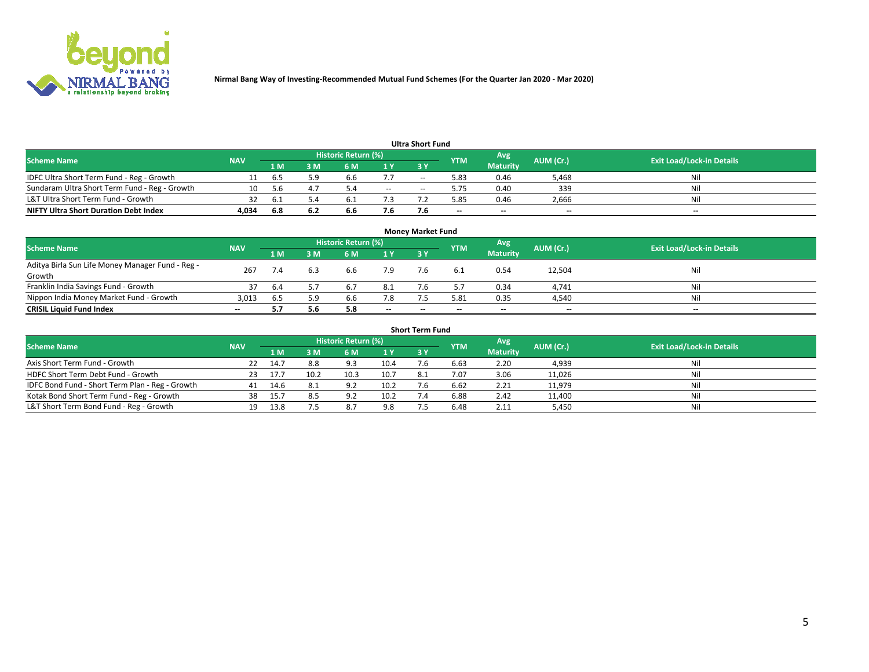

|                                               |            |      |     |                     |     | <b>Ultra Short Fund</b> |            |                 |           |                                  |
|-----------------------------------------------|------------|------|-----|---------------------|-----|-------------------------|------------|-----------------|-----------|----------------------------------|
| <b>Scheme Name</b>                            | <b>NAV</b> |      |     | Historic Return (%) |     |                         | <b>YTM</b> | Avg             | AUM (Cr.) | <b>Exit Load/Lock-in Details</b> |
|                                               |            | 1 M  | 3 M | 6 M                 | 1 Y | 3 Y                     |            | <b>Maturity</b> |           |                                  |
| IDFC Ultra Short Term Fund - Reg - Growth     |            | b.5  | 5.9 | 6.b                 | 7.7 | $- -$                   | 5.83       | 0.46            | 5,468     | Nil                              |
| Sundaram Ultra Short Term Fund - Reg - Growth |            | -5.6 |     | 54                  | $-$ | --                      | 5.75       | 0.40            | 339       | Nil                              |
| L&T Ultra Short Term Fund - Growth            |            | b    |     |                     |     |                         | .85        | 0.46            | 2,666     | Nil                              |
| <b>NIFTY Ultra Short Duration Debt Index</b>  | 4.034      | 6.8  | 6.2 | 6.6                 | 7.6 |                         | $\sim$     | $\sim$          | $\sim$    | $- -$                            |

| <b>Money Market Fund</b>                                   |            |      |     |                     |           |    |            |                 |           |                                  |  |  |  |
|------------------------------------------------------------|------------|------|-----|---------------------|-----------|----|------------|-----------------|-----------|----------------------------------|--|--|--|
| <b>Scheme Name</b>                                         | <b>NAV</b> |      |     | Historic Return (%) |           |    | <b>YTM</b> | 'Avg            | AUM (Cr.) | <b>Exit Load/Lock-in Details</b> |  |  |  |
|                                                            |            | 1 M  | 3 M | 6 M                 | <b>1Y</b> | 3Y |            | <b>Maturity</b> |           |                                  |  |  |  |
| Aditya Birla Sun Life Money Manager Fund - Reg -<br>Growth | 267        |      | 6.3 | 6.6                 | 7.9       |    |            | 0.54            | 12,504    | Nil                              |  |  |  |
| Franklin India Savings Fund - Growth                       | 37         | -6.4 |     | 6.7                 | 8.1       |    |            | 0.34            | 4,741     | Nil                              |  |  |  |
| Nippon India Money Market Fund - Growth                    | 3,013      | 6.5  | 5.9 | 6.6                 | 7.8       |    | 5.81       | 0.35            | 4,540     | Nil                              |  |  |  |
| <b>CRISIL Liquid Fund Index</b>                            | $- -$      |      | 5.6 | 5.8                 | $\sim$    | -- | --         | $\sim$          | $\sim$    | $\sim$                           |  |  |  |

| <b>Short Term Fund</b>                          |            |       |      |                     |      |           |            |                 |           |                                  |  |  |  |  |
|-------------------------------------------------|------------|-------|------|---------------------|------|-----------|------------|-----------------|-----------|----------------------------------|--|--|--|--|
| <b>Scheme Name</b>                              | <b>NAV</b> |       |      | Historic Return (%) |      |           | <b>YTM</b> | Avg             | AUM (Cr.) | <b>Exit Load/Lock-in Details</b> |  |  |  |  |
|                                                 |            | 1 M   | 3 M  | 6 M                 | 1Y   | <b>3Y</b> |            | <b>Maturity</b> |           |                                  |  |  |  |  |
| Axis Short Term Fund - Growth                   |            | 14.7  | 8.8  | 9.3                 | 10.4 |           | 6.63       | 2.20            | 4,939     | Nil                              |  |  |  |  |
| HDFC Short Term Debt Fund - Growth              | 23.        | -17.7 | 10.2 | 10.3                | 10.7 | 8.1       | 7.07       | 3.06            | 11,026    | Nil                              |  |  |  |  |
| IDFC Bond Fund - Short Term Plan - Reg - Growth | 41         | 14.6  | 8.1  | 9.2                 | 10.2 |           | 6.62       | 2.21            | 11,979    | Nil                              |  |  |  |  |
| Kotak Bond Short Term Fund - Reg - Growth       | 38         | 15.7  | 8.5  | Q <sub>0</sub>      | 10.2 |           | 6.88       | 2.42            | 11,400    | Nil                              |  |  |  |  |
| L&T Short Term Bond Fund - Reg - Growth         | 19.        | 13.8  |      | 8.7                 | 9.8  |           | 6.48       | 2.11            | 5,450     | Nil                              |  |  |  |  |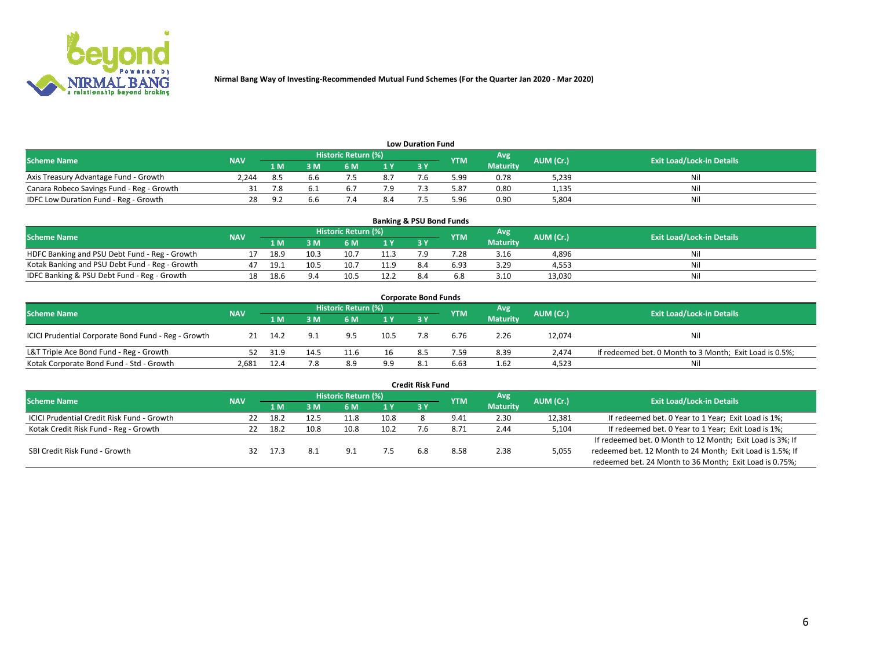

| <b>Low Duration Fund</b>                  |            |         |     |                            |      |  |            |                 |           |                                  |  |  |  |
|-------------------------------------------|------------|---------|-----|----------------------------|------|--|------------|-----------------|-----------|----------------------------------|--|--|--|
| <b>Scheme Name</b>                        | <b>NAV</b> |         |     | <b>Historic Return (%)</b> |      |  | <b>YTM</b> | Avg             | AUM (Cr.) | <b>Exit Load/Lock-in Details</b> |  |  |  |
|                                           |            | 1 M     | ያ M | 5 M                        | 4 V. |  |            | <b>Maturity</b> |           |                                  |  |  |  |
| Axis Treasury Advantage Fund - Growth     | 2.244      |         | 6.b |                            | 8.7  |  | 5.99       | 0.78            | 5,239     | Nil                              |  |  |  |
| Canara Robeco Savings Fund - Reg - Growth |            |         |     | <b>b.</b>                  |      |  | 5.87       | 0.80            | 1,135     | Nil                              |  |  |  |
| IDFC Low Duration Fund - Reg - Growth     |            | $\circ$ | 6.b |                            | 8.4  |  | 5.96       | 0.90            | 5.804     | Nil                              |  |  |  |

| <b>Banking &amp; PSU Bond Funds</b>            |            |      |      |                            |      |           |            |                 |           |                                  |  |  |  |
|------------------------------------------------|------------|------|------|----------------------------|------|-----------|------------|-----------------|-----------|----------------------------------|--|--|--|
| <b>Scheme Name</b>                             | <b>NAV</b> |      |      | <b>Historic Return (%)</b> |      |           | <b>YTM</b> | Avg             | AUM (Cr.) | <b>Exit Load/Lock-in Details</b> |  |  |  |
|                                                |            | 1 M  | sм   | 6 M                        | 1Y   | <b>3Y</b> |            | <b>Maturity</b> |           |                                  |  |  |  |
| HDFC Banking and PSU Debt Fund - Reg - Growth  |            | 18.9 | 10.3 | 10.7                       | 11.3 |           | 7.28       | 3.16            | 4,896     | Ni                               |  |  |  |
| Kotak Banking and PSU Debt Fund - Reg - Growth |            | 19.3 | 10.5 | 10.7                       | 11.9 | 8.4       | 6.93       | 3.29            | 4.553     | Ni                               |  |  |  |
| IDFC Banking & PSU Debt Fund - Reg - Growth    |            | 18.6 |      | 10.5                       | 12.2 |           |            | 3.10            | 13.030    | Ni                               |  |  |  |

| <b>Corporate Bond Funds</b>                         |            |      |     |                     |      |            |            |                 |           |                                                         |  |  |  |
|-----------------------------------------------------|------------|------|-----|---------------------|------|------------|------------|-----------------|-----------|---------------------------------------------------------|--|--|--|
| <b>Scheme Name</b>                                  | <b>NAV</b> |      |     | Historic Return (%) |      |            | <b>YTM</b> | Avg             | AUM (Cr.) | <b>Exit Load/Lock-in Details</b>                        |  |  |  |
|                                                     |            | 1 M  | 3 M | 6 M                 | 1 Y  | <b>3 Y</b> |            | <b>Maturity</b> |           |                                                         |  |  |  |
| ICICI Prudential Corporate Bond Fund - Reg - Growth |            | 14.2 | 9.1 | 9.5                 | 10.5 |            | 6.76       | 2.26            | 12,074    | Nil                                                     |  |  |  |
| L&T Triple Ace Bond Fund - Reg - Growth             |            | 31.9 |     | 11.6                | 16   | 8.5        | 7.59       | 8.39            | 2.474     | If redeemed bet. 0 Month to 3 Month; Exit Load is 0.5%; |  |  |  |
| Kotak Corporate Bond Fund - Std - Growth            | 2.681      | 12.4 | 7.8 | 8.9                 | 9.9  | -8.1       | 6.63       | 1.62            | 4,523     | Nil                                                     |  |  |  |

| <b>Credit Risk Fund</b>                    |                                              |      |                 |                     |      |     |            |      |           |                                                           |  |  |  |
|--------------------------------------------|----------------------------------------------|------|-----------------|---------------------|------|-----|------------|------|-----------|-----------------------------------------------------------|--|--|--|
| <b>Scheme Name</b>                         |                                              |      |                 | Historic Return (%) |      |     | <b>YTM</b> | Avg  | AUM (Cr.) | <b>Exit Load/Lock-in Details</b>                          |  |  |  |
|                                            | <b>NAV</b><br>3Y<br>I M<br>6 M<br>1 M<br>1 Y |      | <b>Maturity</b> |                     |      |     |            |      |           |                                                           |  |  |  |
| ICICI Prudential Credit Risk Fund - Growth | 22                                           | 18.2 |                 | 11.8                | 10.8 |     | 9.41       | 2.30 | 12,381    | If redeemed bet. 0 Year to 1 Year; Exit Load is 1%;       |  |  |  |
| Kotak Credit Risk Fund - Reg - Growth      | 22                                           | 18.2 | 10.8            | 10.8                | 10.2 |     | 8.72       | 2.44 | 5,104     | If redeemed bet. 0 Year to 1 Year; Exit Load is 1%;       |  |  |  |
|                                            |                                              |      |                 |                     |      |     |            |      |           | If redeemed bet. 0 Month to 12 Month; Exit Load is 3%; If |  |  |  |
| SBI Credit Risk Fund - Growth              | 32                                           |      | 8.1             | Q                   |      | 6.8 | 8.58       | 2.38 | 5,055     | redeemed bet. 12 Month to 24 Month; Exit Load is 1.5%; If |  |  |  |
|                                            |                                              |      |                 |                     |      |     |            |      |           | redeemed bet. 24 Month to 36 Month; Exit Load is 0.75%;   |  |  |  |